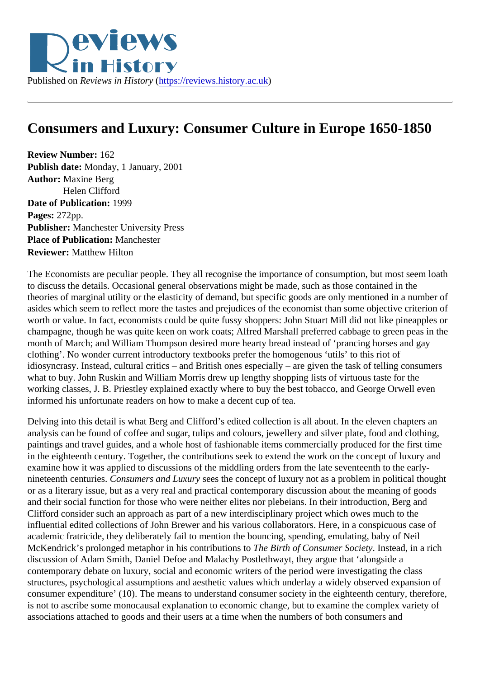## Consumers and Luxury: Consumer Culture in Europe 1650-1850

Review Number: 162 Publish date: Monday, 1 January, 2001 Author: Maxine Berg Helen Clifford Date of Publication: 1999 Pages: 272pp. Publisher: Manchester University Press Place of Publication: Manchester Reviewer: Matthew Hilton

The Economists are peculiar people. They all recognise the importance of consumption, but most seem lo to discuss the details. Occasional general observations might be made, such as those contained in the theories of marginal utility or the elasticity of demand, but specific goods are only mentioned in a number of asides which seem to reflect more the tastes and prejudices of the economist than some objective criterion worth or value. In fact, economists could be quite fussy shoppers: John Stuart Mill did not like pineapples or champagne, though he was quite keen on work coats; Alfred Marshall preferred cabbage to green peas in month of March; and William Thompson desired more hearty bread instead of 'prancing horses and gay clothing'. No wonder current introductory textbooks prefer the homogenous 'utils' to this riot of idiosyncrasy. Instead, cultural critics – and British ones especially – are given the task of telling consumers what to buy. John Ruskin and William Morris drew up lengthy shopping lists of virtuous taste for the working classes, J. B. Priestley explained exactly where to buy the best tobacco, and George Orwell even informed his unfortunate readers on how to make a decent cup of tea.

Delving into this detail is what Berg and Clifford's edited collection is all about. In the eleven chapters an analysis can be found of coffee and sugar, tulips and colours, jewellery and silver plate, food and clothing, paintings and travel guides, and a whole host of fashionable items commercially produced for the first time in the eighteenth century. Together, the contributions seek to extend the work on the concept of luxury and examine how it was applied to discussions of the middling orders from the late seventeenth to the earlynineteenth centurie Consumers and Luxurgees the concept of luxury not as a problem in political thought or as a literary issue, but as a very real and practical contemporary discussion about the meaning of good and their social function for those who were neither elites nor plebeians. In their introduction, Berg and Clifford consider such an approach as part of a new interdisciplinary project which owes much to the influential edited collections of John Brewer and his various collaborators. Here, in a conspicuous case of academic fratricide, they deliberately fail to mention the bouncing, spending, emulating, baby of Neil McKendrick's prolonged metaphor in his contribution of the Birth of Consumer Society stead, in a rich discussion of Adam Smith, Daniel Defoe and Malachy Postlethwayt, they argue that 'alongside a contemporary debate on luxury, social and economic writers of the period were investigating the class structures, psychological assumptions and aesthetic values which underlay a widely observed expansion of consumer expenditure' (10). The means to understand consumer society in the eighteenth century, therefore, is not to ascribe some monocausal explanation to economic change, but to examine the complex variety of associations attached to goods and their users at a time when the numbers of both consumers and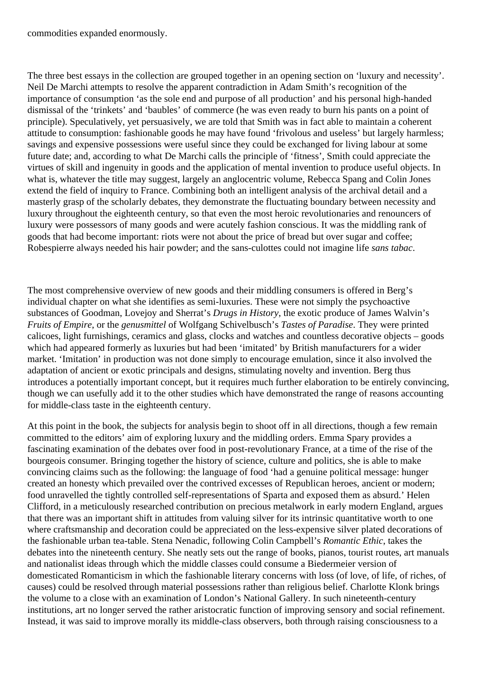commodities expanded enormously.

The three best essays in the collection are grouped together in an opening section on 'luxury and necessity'. Neil De Marchi attempts to resolve the apparent contradiction in Adam Smith's recognition of the importance of consumption 'as the sole end and purpose of all production' and his personal high-handed dismissal of the 'trinkets' and 'baubles' of commerce (he was even ready to burn his pants on a point of principle). Speculatively, yet persuasively, we are told that Smith was in fact able to maintain a coherent attitude to consumption: fashionable goods he may have found 'frivolous and useless' but largely harmless; savings and expensive possessions were useful since they could be exchanged for living labour at some future date; and, according to what De Marchi calls the principle of 'fitness', Smith could appreciate the virtues of skill and ingenuity in goods and the application of mental invention to produce useful objects. In what is, whatever the title may suggest, largely an anglocentric volume, Rebecca Spang and Colin Jones extend the field of inquiry to France. Combining both an intelligent analysis of the archival detail and a masterly grasp of the scholarly debates, they demonstrate the fluctuating boundary between necessity and luxury throughout the eighteenth century, so that even the most heroic revolutionaries and renouncers of luxury were possessors of many goods and were acutely fashion conscious. It was the middling rank of goods that had become important: riots were not about the price of bread but over sugar and coffee; Robespierre always needed his hair powder; and the sans-culottes could not imagine life *sans tabac*.

The most comprehensive overview of new goods and their middling consumers is offered in Berg's individual chapter on what she identifies as semi-luxuries. These were not simply the psychoactive substances of Goodman, Lovejoy and Sherrat's *Drugs in History*, the exotic produce of James Walvin's *Fruits of Empire*, or the *genusmittel* of Wolfgang Schivelbusch's *Tastes of Paradise*. They were printed calicoes, light furnishings, ceramics and glass, clocks and watches and countless decorative objects – goods which had appeared formerly as luxuries but had been 'imitated' by British manufacturers for a wider market. 'Imitation' in production was not done simply to encourage emulation, since it also involved the adaptation of ancient or exotic principals and designs, stimulating novelty and invention. Berg thus introduces a potentially important concept, but it requires much further elaboration to be entirely convincing, though we can usefully add it to the other studies which have demonstrated the range of reasons accounting for middle-class taste in the eighteenth century.

At this point in the book, the subjects for analysis begin to shoot off in all directions, though a few remain committed to the editors' aim of exploring luxury and the middling orders. Emma Spary provides a fascinating examination of the debates over food in post-revolutionary France, at a time of the rise of the bourgeois consumer. Bringing together the history of science, culture and politics, she is able to make convincing claims such as the following: the language of food 'had a genuine political message: hunger created an honesty which prevailed over the contrived excesses of Republican heroes, ancient or modern; food unravelled the tightly controlled self-representations of Sparta and exposed them as absurd.' Helen Clifford, in a meticulously researched contribution on precious metalwork in early modern England, argues that there was an important shift in attitudes from valuing silver for its intrinsic quantitative worth to one where craftsmanship and decoration could be appreciated on the less-expensive silver plated decorations of the fashionable urban tea-table. Stena Nenadic, following Colin Campbell's *Romantic Ethic*, takes the debates into the nineteenth century. She neatly sets out the range of books, pianos, tourist routes, art manuals and nationalist ideas through which the middle classes could consume a Biedermeier version of domesticated Romanticism in which the fashionable literary concerns with loss (of love, of life, of riches, of causes) could be resolved through material possessions rather than religious belief. Charlotte Klonk brings the volume to a close with an examination of London's National Gallery. In such nineteenth-century institutions, art no longer served the rather aristocratic function of improving sensory and social refinement. Instead, it was said to improve morally its middle-class observers, both through raising consciousness to a